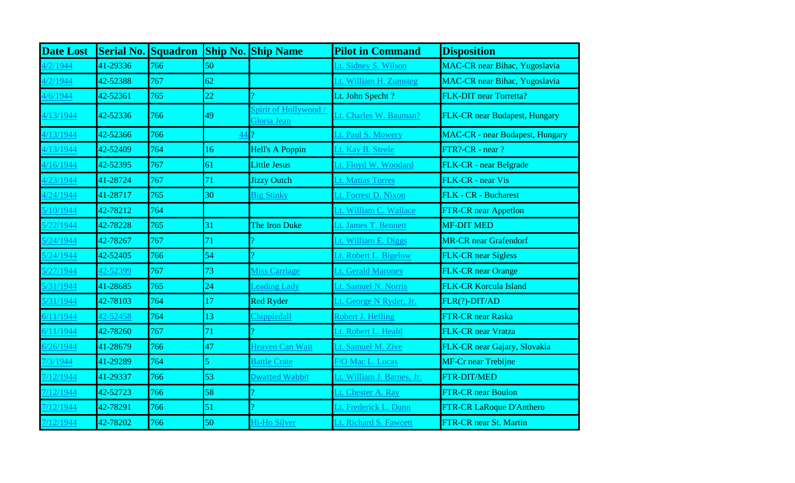| <b>Date Lost</b> | <b>Serial No. Squadron</b> |     |                | <b>Ship No. Ship Name</b>          | <b>Pilot in Command</b>    | <b>Disposition</b>                     |
|------------------|----------------------------|-----|----------------|------------------------------------|----------------------------|----------------------------------------|
| 1/2/1944         | 41-29336                   | 766 | 50             |                                    | Lt. Sidney S. Wilson       | MAC-CR near Bihac, Yugoslavia          |
| 4/2/1944         | 42-52388                   | 767 | 62             |                                    | Lt. William H. Zumsteg     | <b>MAC-CR</b> near Bihac, Yugoslavia   |
| 4/6/1944         | 42-52361                   | 765 | 22             |                                    | Lt. John Specht?           | FLK-DIT near Torretta?                 |
| 4/13/1944        | 42-52336                   | 766 | 49             | Spirit of Hollywood<br>Gloria Jean | Lt. Charles W. Bauman?     | FLK-CR near Budapest, Hungary          |
| 4/13/1944        | 42-52366                   | 766 | 44             |                                    | Lt. Paul S. Mowery         | <b>MAC-CR</b> - near Budapest, Hungary |
| 4/13/1944        | 42-52409                   | 764 | 16             | <b>Hell's A Poppin</b>             | Lt. Kay B. Steele          | FTR?-CR - near ?                       |
| 4/16/1944        | 42-52395                   | 767 | 61             | <b>Little Jesus</b>                | Lt. Floyd W. Woodard       | FLK-CR - near Belgrade                 |
| 1/23/1944        | 41-28724                   | 767 | 71             | <b>Jizzy Outch</b>                 | Lt. Matias Torres          | FLK-CR - near Vis                      |
| 4/24/1944        | 41-28717                   | 765 | 30             | <b>Big Stinky</b>                  | Lt. Forrest D. Nixon       | FLK - CR - Bucharest                   |
| 5/10/1944        | 42-78212                   | 764 |                |                                    | Lt. William C. Wallace     | <b>FTR-CR</b> near Appetlon            |
| 5/22/1944        | 42-78228                   | 765 | 31             | The Iron Duke                      | Lt. James T. Bennett       | <b>MF-DIT MED</b>                      |
| 5/24/1944        | 42-78267                   | 767 | 71             |                                    | Lt. William E. Diggs       | <b>MR-CR</b> near Grafendorf           |
| 5/24/1944        | 42-52405                   | 766 | 54             |                                    | Lt. Robert L. Bigelow      | <b>FLK-CR</b> near Sigless             |
| 5/27/1944        | 42-52399                   | 767 | 73             | Miss Carriage                      | Lt. Gerald Maroney         | <b>FLK-CR</b> near Orange              |
| 5/31/1944        | 41-28685                   | 765 | 24             | <b>Leading Lady</b>                | Lt. Samuel N. Norris       | <b>FLK-CR Korcula Island</b>           |
| 5/31/1944        | 42-78103                   | 764 | 17             | <b>Red Ryder</b>                   | Lt. George N Ryder, Jr.    | FLR(?)-DIT/AD                          |
| 6/11/1944        | 42-52458                   | 764 | 13             | Chippiedall                        | Robert J. Hefling          | FTR-CR near Raska                      |
| 6/11/1944        | 42-78260                   | 767 | 71             |                                    | Lt. Robert L. Heald        | FLK-CR near Vratza                     |
| 5/26/1944        | 41-28679                   | 766 | 47             | Heaven Can Wait                    | Lt. Samuel M. Zive         | FLK-CR near Gajary, Slovakia           |
| 7/3/1944         | 41-29289                   | 764 | $\overline{5}$ | <b>Battle Crate</b>                | F/O Mac L. Lucas           | <b>MF-Cr near Trebijne</b>             |
| 7/12/1944        | 41-29337                   | 766 | 53             | <b>Dwatted Wabbit</b>              | Lt. William J. Barnes, Jr. | <b>FTR-DIT/MED</b>                     |
| 7/12/1944        | 42-52723                   | 766 | 58             |                                    | Lt. Chester A. Ray         | <b>FTR-CR near Boulon</b>              |
| 7/12/1944        | 42-78291                   | 766 | 51             | Ő                                  | Lt. Frederick L. Dunn      | FTR-CR LaRoque D'Anthero               |
| 7/12/1944        | 42-78202                   | 766 | 50             | Hi-Ho Silver                       | Lt. Richard S. Fawcett     | FTR-CR near St. Martin                 |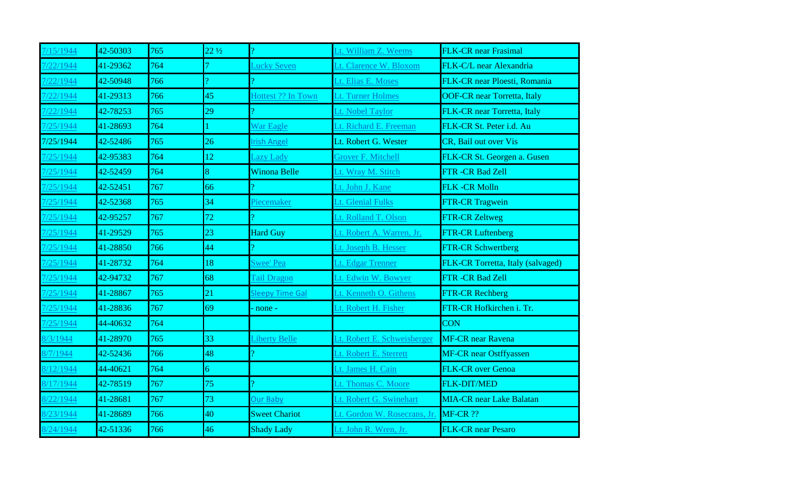| /15/1944  | 42-50303 | 765 | $22\frac{1}{2}$ |                        | Lt. William Z. Weems         | <b>FLK-CR</b> near Frasimal        |
|-----------|----------|-----|-----------------|------------------------|------------------------------|------------------------------------|
| /22/1944  | 41-29362 | 764 |                 | Lucky Seven            | Lt. Clarence W. Bloxom       | FLK-C/L near Alexandria            |
| 7/22/1944 | 42-50948 | 766 | $\sigma$        |                        | Lt. Elias E. Moses           | FLK-CR near Ploesti, Romania       |
| /22/1944  | 41-29313 | 766 | 45              | Hottest ?? In Town     | Lt. Turner Holmes            | <b>OOF-CR near Torretta, Italy</b> |
| /22/1944  | 42-78253 | 765 | 29              |                        | Lt. Nobel Taylor             | FLK-CR near Torretta, Italy        |
| 7/25/1944 | 41-28693 | 764 |                 | War Eagle              | Lt. Richard E. Freeman       | FLK-CR St. Peter i.d. Au           |
| 7/25/1944 | 42-52486 | 765 | 26              | <b>Irish Angel</b>     | Lt. Robert G. Wester         | <b>CR</b> , Bail out over Vis      |
| 7/25/1944 | 42-95383 | 764 | 12              | <b>Lazy Lady</b>       | Grover F. Mitchell           | FLK-CR St. Georgen a. Gusen        |
| /25/1944  | 42-52459 | 764 | 8               | <b>Winona Belle</b>    | Lt. Wray M. Stitch           | FTR -CR Bad Zell                   |
| 7/25/1944 | 42-52451 | 767 | 66              |                        | Lt. John J. Kane             | FLK-CR Molln                       |
| 7/25/1944 | 42-52368 | 765 | 34              | Piecemaker             | Lt. Glenial Fulks            | <b>FTR-CR Tragwein</b>             |
| /25/1944  | 42-95257 | 767 | 72              |                        | Lt. Rolland T. Olson         | <b>FTR-CR Zeltweg</b>              |
| /25/1944  | 41-29529 | 765 | 23              | <b>Hard Guy</b>        | Lt. Robert A. Warren, Jr.    | <b>FTR-CR Luftenberg</b>           |
| 725/1944  | 41-28850 | 766 | 44              |                        | Lt. Joseph B. Hesser         | <b>FTR-CR Schwertberg</b>          |
| 7/25/1944 | 41-28732 | 764 | 18              | Swee' Pea              | Lt. Edgar Trenner            | FLK-CR Torretta, Italy (salvaged)  |
| /25/1944  | 42-94732 | 767 | 68              | <b>Tail Dragon</b>     | Lt. Edwin W. Bowyer          | FTR -CR Bad Zell                   |
| 7/25/1944 | 41-28867 | 765 | 21              | <b>Sleepy Time Gal</b> | Lt. Kenneth O. Githens       | <b>FTR-CR Rechberg</b>             |
| 7/25/1944 | 41-28836 | 767 | 69              | none -                 | Lt. Robert H. Fisher         | FTR-CR Hofkirchen i. Tr.           |
| 7/25/1944 | 44-40632 | 764 |                 |                        |                              | <b>CON</b>                         |
| 8/3/1944  | 41-28970 | 765 | 33              | Liberty Belle          | Lt. Robert E. Schweisberger  | <b>MF-CR</b> near Ravena           |
| 8/7/1944  | 42-52436 | 766 | 48              |                        | Lt. Robert E. Sterrett       | <b>MF-CR</b> near Ostffyassen      |
| 8/12/1944 | 44-40621 | 764 | $\overline{6}$  |                        | Lt. James H. Cain            | <b>FLK-CR</b> over Genoa           |
| 8/17/1944 | 42-78519 | 767 | 75              |                        | Lt. Thomas C. Moore          | FLK-DIT/MED                        |
| 8/22/1944 | 41-28681 | 767 | 73              | Our Baby               | Lt. Robert G. Swinehart      | <b>MIA-CR</b> near Lake Balatan    |
| 8/23/1944 | 41-28689 | 766 | 40              | <b>Sweet Chariot</b>   | Lt. Gordon W. Rosecrans, Jr. | <b>MF-CR ??</b>                    |
| 8/24/1944 | 42-51336 | 766 | 46              | <b>Shady Lady</b>      | Lt. John R. Wren, Jr.        | <b>FLK-CR</b> near Pesaro          |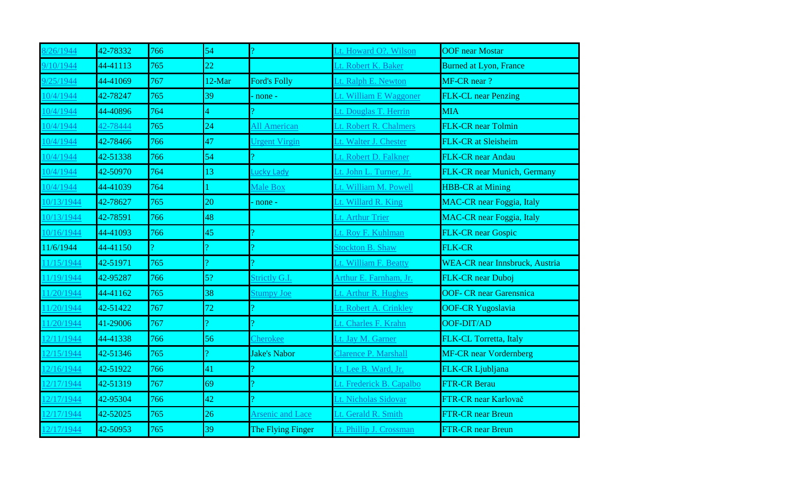| /26/1944   | 42-78332 | 766 | 54       |                         | Lt. Howard O?. Wilson       | <b>OOF</b> near Mostar                |
|------------|----------|-----|----------|-------------------------|-----------------------------|---------------------------------------|
| 9/10/1944  | 44-41113 | 765 | 22       |                         | Lt. Robert K. Baker         | <b>Burned at Lyon, France</b>         |
| 9/25/1944  | 44-41069 | 767 | 12-Mar   | <b>Ford's Folly</b>     | Lt. Ralph E. Newton         | MF-CR near ?                          |
| 10/4/1944  | 42-78247 | 765 | 39       | none -                  | Lt. William E Waggoner      | <b>FLK-CL</b> near Penzing            |
| 10/4/1944  | 44-40896 | 764 | 4        |                         | Lt. Douglas T. Herrin       | <b>MIA</b>                            |
| 10/4/1944  | 42-78444 | 765 | 24       | All American            | Lt. Robert R. Chalmers      | <b>FLK-CR</b> near Tolmin             |
| 10/4/1944  | 42-78466 | 766 | 47       | <b>Urgent Virgin</b>    | Lt. Walter J. Chester       | <b>FLK-CR</b> at Sleisheim            |
| 10/4/1944  | 42-51338 | 766 | 54       |                         | Lt. Robert D. Falkner       | FLK-CR near Andau                     |
| 10/4/1944  | 42-50970 | 764 | 13       | Lucky Lady              | Lt. John L. Turner, Jr.     | FLK-CR near Munich, Germany           |
| 10/4/1944  | 44-41039 | 764 |          | Male Box                | Lt. William M. Powell       | <b>HBB-CR</b> at Mining               |
| 10/13/1944 | 42-78627 | 765 | 20       | none -                  | Lt. Willard R. King         | <b>MAC-CR</b> near Foggia, Italy      |
| 0/13/1944  | 42-78591 | 766 | 48       |                         | Lt. Arthur Trier            | <b>MAC-CR</b> near Foggia, Italy      |
| 10/16/1944 | 44-41093 | 766 | 45       |                         | Lt. Roy F. Kuhlman          | <b>FLK-CR near Gospic</b>             |
| 11/6/1944  | 44-41150 |     | $\Omega$ |                         | <b>Stockton B. Shaw</b>     | <b>FLK-CR</b>                         |
| 1/15/1944  | 42-51971 | 765 |          |                         | Lt. William F. Beatty       | <b>WEA-CR</b> near Innsbruck, Austria |
| 1/19/1944  | 42-95287 | 766 | 5?       | Strictly G.I.           | Arthur E. Farnham, Jr.      | FLK-CR near Duboj                     |
| 11/20/1944 | 44-41162 | 765 | 38       | <b>Stumpy Joe</b>       | Lt. Arthur R. Hughes        | <b>OOF- CR near Garensnica</b>        |
| 1/20/1944  | 42-51422 | 767 | 72       | Ő                       | Lt. Robert A. Crinkley      | <b>OOF-CR Yugoslavia</b>              |
| 1/20/1944  | 41-29006 | 767 | Ő        |                         | Lt. Charles F. Krahn        | OOF-DIT/AD                            |
| 2/11/1944  | 44-41338 | 766 | 56       | Cherokee                | Lt. Jay M. Garner           | FLK-CL Torretta, Italy                |
| 12/15/1944 | 42-51346 | 765 | $\Omega$ | <b>Jake's Nabor</b>     | <b>Clarence P. Marshall</b> | <b>MF-CR</b> near Vordernberg         |
| 2/16/1944  | 42-51922 | 766 | 41       |                         | Lt. Lee B. Ward, Jr.        | FLK-CR Ljubljana                      |
| 2/17/1944  | 42-51319 | 767 | 69       |                         | Lt. Frederick B. Capalbo    | <b>FTR-CR Berau</b>                   |
| 12/17/1944 | 42-95304 | 766 | 42       |                         | Lt. Nicholas Sidovar        | FTR-CR near Karlovač                  |
| 2/17/1944  | 42-52025 | 765 | 26       | <b>Arsenic and Lace</b> | Lt. Gerald R. Smith         | <b>FTR-CR</b> near Breun              |
| 12/17/1944 | 42-50953 | 765 | 39       | The Flying Finger       | Lt. Phillip J. Crossman     | <b>FTR-CR near Breun</b>              |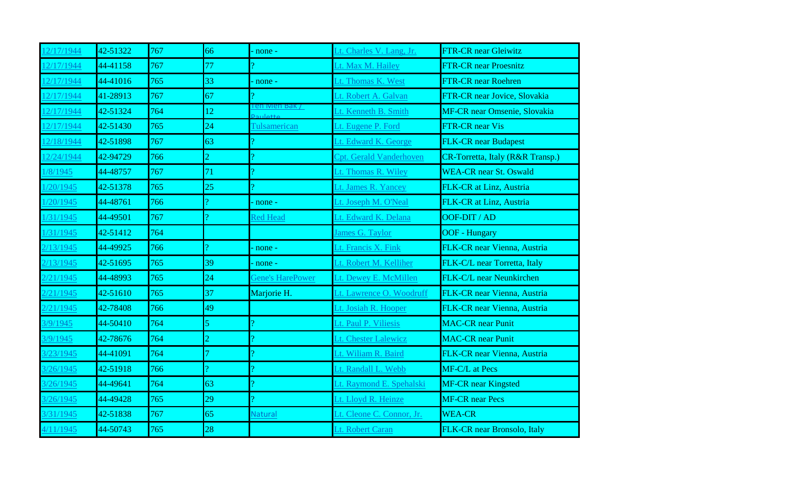| 2/17/1944  | 42-51322 | 767 | 66             | none -                                 | Lt. Charles V. Lang, Jr.       | <b>FTR-CR</b> near Gleiwitz      |
|------------|----------|-----|----------------|----------------------------------------|--------------------------------|----------------------------------|
| 2/17/1944  | 44-41158 | 767 | 77             | ŋ.                                     | Lt. Max M. Hailey              | <b>FTR-CR near Proesnitz</b>     |
| 12/17/1944 | 44-41016 | 765 | 33             | none -                                 | Lt. Thomas K. West             | <b>FTR-CR near Roehren</b>       |
| 2/17/1944  | 41-28913 | 767 | 67             |                                        | Lt. Robert A. Galvan           | FTR-CR near Jovice, Slovakia     |
| 2/17/1944  | 42-51324 | 764 | 12             | en ivien Bak /<br>attalue <sup>(</sup> | Lt. Kenneth B. Smith           | MF-CR near Omsenie, Slovakia     |
| 12/17/1944 | 42-51430 | 765 | 24             | <b>Tulsamerican</b>                    | Lt. Eugene P. Ford             | <b>FTR-CR</b> near Vis           |
| 2/18/1944  | 42-51898 | 767 | 63             |                                        | Lt. Edward K. George           | <b>FLK-CR</b> near Budapest      |
| 2/24/1944  | 42-94729 | 766 | $\overline{2}$ |                                        | <b>Cpt. Gerald Vanderhoven</b> | CR-Torretta, Italy (R&R Transp.) |
| 8/1945     | 44-48757 | 767 | 71             | Ő.                                     | Lt. Thomas R. Wiley            | <b>WEA-CR</b> near St. Oswald    |
| /20/1945   | 42-51378 | 765 | 25             |                                        | Lt. James R. Yancey            | FLK-CR at Linz, Austria          |
| /20/1945   | 44-48761 | 766 | $\Omega$       | none -                                 | Lt. Joseph M. O'Neal           | FLK-CR at Linz, Austria          |
| /31/1945   | 44-49501 | 767 |                | <b>Red Head</b>                        | Lt. Edward K. Delana           | OOF-DIT / AD                     |
| /31/1945   | 42-51412 | 764 |                |                                        | James G. Taylor                | <b>OOF</b> - Hungary             |
| 13/1945    | 44-49925 | 766 |                | none -                                 | Lt. Francis X. Fink            | FLK-CR near Vienna, Austria      |
| 13/1945    | 42-51695 | 765 | 39             | none -                                 | Lt. Robert M. Kelliher         | FLK-C/L near Torretta, Italy     |
| /21/1945   | 44-48993 | 765 | 24             | <b>Gene's HarePower</b>                | Lt. Dewey E. McMillen          | FLK-C/L near Neunkirchen         |
| 2/21/1945  | 42-51610 | 765 | 37             | Marjorie H.                            | Lt. Lawrence O. Woodruff       | FLK-CR near Vienna, Austria      |
| 21/1945    | 42-78408 | 766 | 49             |                                        | Lt. Josiah R. Hooper           | FLK-CR near Vienna, Austria      |
| /9/1945    | 44-50410 | 764 | $\overline{5}$ |                                        | Lt. Paul P. Viliesis           | <b>MAC-CR</b> near Punit         |
| 3/9/1945   | 42-78676 | 764 | $\overline{2}$ |                                        | Lt. Chester Lalewicz           | <b>MAC-CR</b> near Punit         |
| 3/23/1945  | 44-41091 | 764 |                |                                        | Lt. Wiliam R. Baird            | FLK-CR near Vienna, Austria      |
| 3/26/1945  | 42-51918 | 766 | $\Omega$       |                                        | Lt. Randall L. Webb            | MF-C/L at Pecs                   |
| 3/26/1945  | 44-49641 | 764 | 63             | $\overline{\mathbf{a}}$                | Lt. Raymond E. Spehalski       | <b>MF-CR</b> near Kingsted       |
| 3/26/1945  | 44-49428 | 765 | 29             | ő                                      | Lt. Lloyd R. Heinze            | <b>MF-CR</b> near Pecs           |
| 3/31/1945  | 42-51838 | 767 | 65             | <b>Natural</b>                         | Lt. Cleone C. Connor, Jr.      | <b>WEA-CR</b>                    |
| 4/11/1945  | 44-50743 | 765 | 28             |                                        | Lt. Robert Caran               | FLK-CR near Bronsolo, Italy      |